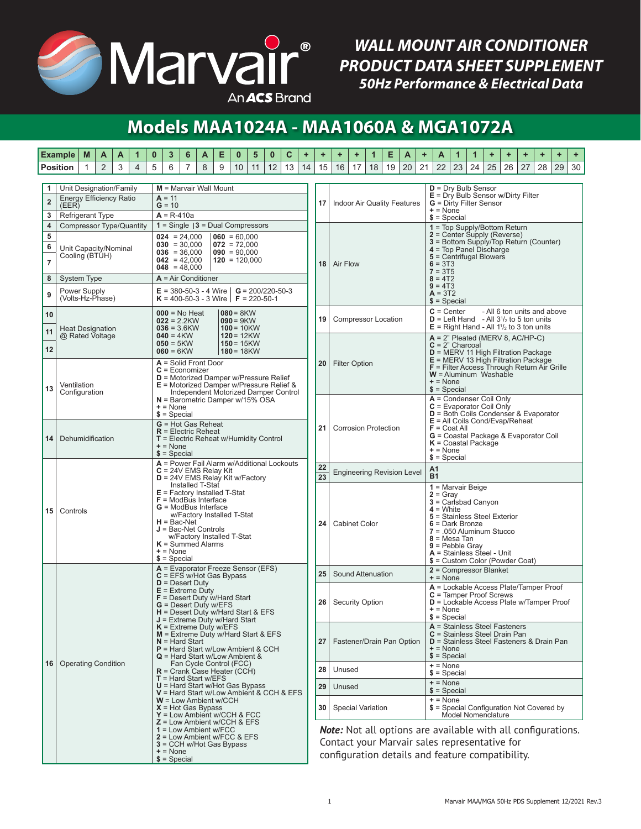

### *WALL MOUNT AIR CONDITIONER PRODUCT DATA SHEET SUPPLEMENT 50Hz Performance & Electrical Data*

An **ACS** Brand

# **Models MAA1024A - MAA1060A & MGA1072A**

#### Example | M | A | A | 1 | 0 | 3 | 6 | A | E | 0 | 5 | 0 | C | + | + | + | + | 1 | E | A | + | A | 1 | 1 | + | + | + | + | + | + **Position** 1 2 3 4 5 6 7 8 9 10 11 12 13 14 15 16 17 18 19 20 21 22 23 24 25 26 27 28 29 30

| 1              | Unit Designation/Family                    | $M =$ Marvair Wall Mount                                                                                                                                                                                                                                                                                                                                                                                                                                                                                                                                                                                                                                                                                                                                                                                                                  |  |  |  |  |  |  |  |  |  |  |
|----------------|--------------------------------------------|-------------------------------------------------------------------------------------------------------------------------------------------------------------------------------------------------------------------------------------------------------------------------------------------------------------------------------------------------------------------------------------------------------------------------------------------------------------------------------------------------------------------------------------------------------------------------------------------------------------------------------------------------------------------------------------------------------------------------------------------------------------------------------------------------------------------------------------------|--|--|--|--|--|--|--|--|--|--|
| $\overline{2}$ | <b>Energy Efficiency Ratio</b><br>(EER)    | $A = 11$<br>$G = 10$                                                                                                                                                                                                                                                                                                                                                                                                                                                                                                                                                                                                                                                                                                                                                                                                                      |  |  |  |  |  |  |  |  |  |  |
| 3              | <b>Refrigerant Type</b>                    | $A = R-410a$                                                                                                                                                                                                                                                                                                                                                                                                                                                                                                                                                                                                                                                                                                                                                                                                                              |  |  |  |  |  |  |  |  |  |  |
| 4              | Compressor Type/Quantity                   | $1 =$ Single $ 3 =$ Dual Compressors                                                                                                                                                                                                                                                                                                                                                                                                                                                                                                                                                                                                                                                                                                                                                                                                      |  |  |  |  |  |  |  |  |  |  |
| 5<br>6<br>7    | Unit Capacity/Nominal<br>Cooling (BTUH)    | $024 = 24,000$<br>$060 = 60,000$<br>$030 = 30,000$<br>$072 = 72,000$<br>$036 = 36,000$<br>$090 = 90,000$<br>$042 = 42,000$<br>$120 = 120,000$<br>$048 = 48,000$                                                                                                                                                                                                                                                                                                                                                                                                                                                                                                                                                                                                                                                                           |  |  |  |  |  |  |  |  |  |  |
| 8              | System Type                                | $A = Air Conditioner$                                                                                                                                                                                                                                                                                                                                                                                                                                                                                                                                                                                                                                                                                                                                                                                                                     |  |  |  |  |  |  |  |  |  |  |
| 9              | Power Supply<br>(Volts-Hz-Phase)           | $E = 380-50-3 - 4$ Wire $\vert G = 200/220-50-3$<br>$K = 400 - 50 - 3 - 3$ Wire $\mid F = 220 - 50 - 1$                                                                                                                                                                                                                                                                                                                                                                                                                                                                                                                                                                                                                                                                                                                                   |  |  |  |  |  |  |  |  |  |  |
| 10             |                                            | $000 = No Heat$<br>$080 = 8KW$<br>$022 = 2.2$ KW<br>$090 = 9KW$                                                                                                                                                                                                                                                                                                                                                                                                                                                                                                                                                                                                                                                                                                                                                                           |  |  |  |  |  |  |  |  |  |  |
| 11             | <b>Heat Designation</b><br>@ Rated Voltage | $036 = 3.6$ KW<br>$100 = 10$ KW<br>$040 = 4KW$<br>$120 = 12KW$                                                                                                                                                                                                                                                                                                                                                                                                                                                                                                                                                                                                                                                                                                                                                                            |  |  |  |  |  |  |  |  |  |  |
| 12             |                                            | $050 = 5KW$<br>$150 = 15$ KW<br>$060 = 6KW$<br>$180 = 18$ KW                                                                                                                                                                                                                                                                                                                                                                                                                                                                                                                                                                                                                                                                                                                                                                              |  |  |  |  |  |  |  |  |  |  |
| 13             | Ventilation<br>Configuration               | $A =$ Solid Front Door<br>$C = Economizer$<br><b>D</b> = Motorized Damper w/Pressure Relief<br>$E =$ Motorized Damper w/Pressure Relief &<br>Independent Motorized Damper Control<br>$N =$ Barometric Damper w/15% OSA<br>$+$ = None<br>$$ = Special$                                                                                                                                                                                                                                                                                                                                                                                                                                                                                                                                                                                     |  |  |  |  |  |  |  |  |  |  |
| 14             | Dehumidification                           | <b>G</b> = Hot Gas Reheat<br>$R =$ Electric Reheat<br>$T =$ Electric Reheat w/Humidity Control<br>$+$ = None<br>$$ = Special$                                                                                                                                                                                                                                                                                                                                                                                                                                                                                                                                                                                                                                                                                                             |  |  |  |  |  |  |  |  |  |  |
| 15             | Controls                                   | <b>A</b> = Power Fail Alarm w/Additional Lockouts<br>$C = 24V$ EMS Relay Kit<br>$D = 24V$ EMS Relay Kit w/Factory<br>Installed T-Stat<br>$E =$ Factory Installed T-Stat<br>$F =$ ModBus Interface<br>$G =$ ModBus Interface<br>w/Factory Installed T-Stat<br>$H = Bac-Net$<br>$J =$ Bac-Net Controls<br>w/Factory Installed T-Stat<br>$K =$ Summed Alarms<br>$+$ = None<br>$$ = Special$                                                                                                                                                                                                                                                                                                                                                                                                                                                  |  |  |  |  |  |  |  |  |  |  |
| 16             | <b>Operating Condition</b>                 | $A =$ Evaporator Freeze Sensor (EFS)<br>$C = EFS$ w/Hot Gas Bypass<br>$D =$ Desert Duty<br>$E =$ Extreme Duty<br>$F =$ Desert Duty w/Hard Start<br>G = Desert Duty w/EFS<br>$H =$ Desert Duty w/Hard Start & EFS<br>$J =$ Extreme Duty w/Hard Start<br>$K =$ Extreme Duty w/EFS<br>$M =$ Extreme Duty w/Hard Start & EFS<br>$N =$ Hard Start<br>P = Hard Start w/Low Ambient & CCH<br>$Q =$ Hard Start w/Low Ambient &<br>Fan Cycle Control (FCC)<br>$R =$ Crank Case Heater (CCH)<br>$T =$ Hard Start w/EFS<br>$U =$ Hard Start w/Hot Gas Bypass<br>V = Hard Start w/Low Ambient & CCH & EFS<br>$W =$ Low Ambient w/CCH<br>$X = Hot Gas Bypass$<br>$Y = Low$ Ambient w/CCH & FCC<br>$Z =$ Low Ambient w/CCH & EFS<br>$1 =$ Low Ambient w/FCC<br>2 = Low Ambient w/FCC & EFS<br>$3 = CCH$ w/Hot Gas Bypass<br>$+$ = None<br>$$ = Special$ |  |  |  |  |  |  |  |  |  |  |

| 17       | <b>Indoor Air Quality Features</b> | $D = Dry Bulb$ Sensor<br>$E = \text{Dry}$ Bulb Sensor w/Dirty Filter<br><b>G</b> = Dirty Filter Sensor<br>$+$ = None<br>$$ = Special$                                                                                                                        |
|----------|------------------------------------|--------------------------------------------------------------------------------------------------------------------------------------------------------------------------------------------------------------------------------------------------------------|
| 18       | Air Flow                           | 1 = Top Supply/Bottom Return<br>2 = Center Supply (Reverse)<br>3 = Bottom Supply/Top Return (Counter)<br>4 = Top Panel Discharge<br>$5$ = Centrifugal Blowers<br>$6 = 3T3$<br>$7 = 3T5$<br>$8 = 4T2$<br>$9 = 4T3$<br>$A = 3T2$<br>$$ = Special$              |
| 19       | <b>Compressor Location</b>         | - All 6 ton units and above<br>$C =$ Center<br>$D = Left Hand$<br>- All $3^{1/2}$ to 5 ton units<br>$E =$ Right Hand - All 1 <sup>1</sup> / <sub>2</sub> to 3 ton units                                                                                      |
| 20       | <b>Filter Option</b>               | $A = 2$ " Pleated (MERV 8, AC/HP-C)<br>$C = 2$ " Charcoal<br><b>D</b> = MERV 11 High Filtration Package<br>$E = MERV$ 13 High Filtration Package<br>F = Filter Access Through Return Air Grille<br>W = Aluminum Washable<br>+ = None<br>$$ = Special$        |
| 21       | <b>Corrosion Protection</b>        | $A =$ Condenser Coil Only<br>$C =$ Evaporator Coil Only<br><b>D</b> = Both Coils Condenser & Evaporator<br>$E =$ All Coils Cond/Evap/Reheat<br>$F =$ Coat All<br>G = Coastal Package & Evaporator Coil<br>K = Coastal Package<br>$+$ = None<br>$$ = Special$ |
| 22       | <b>Engineering Revision Level</b>  | Α1<br><b>B1</b>                                                                                                                                                                                                                                              |
|          |                                    |                                                                                                                                                                                                                                                              |
| 23<br>24 | <b>Cabinet Color</b>               | 1 = Marvair Beige<br>2 = Gray<br>3 = Carlsbad Canyon<br>$4 =$ White<br>5 = Stainless Steel Exterior<br>6 = Dark Bronze<br>7 = .050 Aluminum Stucco<br>$8 = Me$ sa Tan<br>$9 =$ Pebble Gray<br>A = Stainless Steel - Unit<br>$$ =$ Custom Color (Powder Coat) |
| 25       | <b>Sound Attenuation</b>           | 2 = Compressor Blanket<br>$+$ = None                                                                                                                                                                                                                         |
| 26       | <b>Security Option</b>             | A = Lockable Access Plate/Tamper Proof<br>C = Tamper Proof Screws<br>$D =$ Lockable Access Plate w/Tamper Proof<br>+ = None<br>$$ = Special$                                                                                                                 |
| 27       | Fastener/Drain Pan Option          | A = Stainless Steel Fasteners<br>C = Stainless Steel Drain Pan<br><b>D</b> = Stainless Steel Fasteners & Drain Pan<br>+ = None<br>$$ = Special$                                                                                                              |
| 28       | Unused                             | $+$ = None<br>$$ = Special$                                                                                                                                                                                                                                  |
| 29       | Unused                             | $+$ = None<br>$$ = Special$                                                                                                                                                                                                                                  |

*Note:* Not all options are available with all configurations. Contact your Marvair sales representative for configuration details and feature compatibility.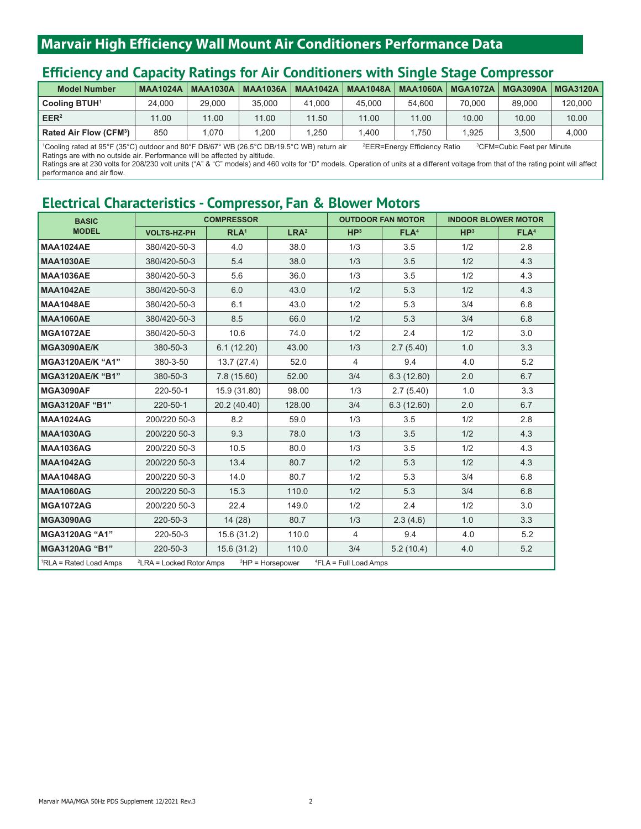### **Marvair High Efficiency Wall Mount Air Conditioners Performance Data**

## **Efficiency and Capacity Ratings for Air Conditioners with Single Stage Compressor**

| <b>Model Number</b>                | <b>MAA1024A</b> | <b>MAA1030A</b> | <b>MAA1036A</b> | <b>MAA1042A</b> | <b>MAA1048A</b> | <b>MAA1060A</b> |        | MGA1072A   MGA3090A   MGA3120A |         |
|------------------------------------|-----------------|-----------------|-----------------|-----------------|-----------------|-----------------|--------|--------------------------------|---------|
| <b>Cooling BTUH1</b>               | 24,000          | 29.000          | 35.000          | 41.000          | 45.000          | 54.600          | 70.000 | 89.000                         | 120,000 |
| EER <sup>2</sup>                   | 11.00           | 11.00           | 11.00           | 11.50           | 11.00           | 11.00           | 10.00  | 10.00                          | 10.00   |
| Rated Air Flow (CFM <sup>3</sup> ) | 850             | 1.070           | .200            | 1.250           | .400            | 1.750           | .925   | 3.500                          | 4.000   |
|                                    |                 |                 |                 |                 |                 |                 |        |                                |         |

<sup>1</sup>Cooling rated at 95°F (35°C) outdoor and 80°F DB/67° WB (26.5°C DB/19.5°C WB) return air <sup>2</sup> <sup>2</sup>EER=Energy Efficiency Ratio CFM=Cubic Feet per Minute Ratings are with no outside air. Performance will be affected by altitude.

Ratings are at 230 volts for 208/230 volt units ("A" & "C" models) and 460 volts for "D" models. Operation of units at a different voltage from that of the rating point will affect performance and air flow.

#### **Electrical Characteristics - Compressor, Fan & Blower Motors**

| <b>BASIC</b>                       |                                      | <b>COMPRESSOR</b> |                         |                                   | <b>OUTDOOR FAN MOTOR</b> | <b>INDOOR BLOWER MOTOR</b> |                  |  |  |  |
|------------------------------------|--------------------------------------|-------------------|-------------------------|-----------------------------------|--------------------------|----------------------------|------------------|--|--|--|
| <b>MODEL</b>                       | <b>VOLTS-HZ-PH</b>                   | RLA <sup>1</sup>  | LRA <sup>2</sup>        | HP <sup>3</sup>                   | FLA <sup>4</sup>         | HP <sup>3</sup>            | FLA <sup>4</sup> |  |  |  |
| <b>MAA1024AE</b>                   | 380/420-50-3                         | 4.0               | 38.0                    | 1/3                               | 3.5                      | 1/2                        | 2.8              |  |  |  |
| <b>MAA1030AE</b>                   | 380/420-50-3                         | 5.4               | 38.0                    | 1/3                               | 3.5                      | 1/2                        | 4.3              |  |  |  |
| <b>MAA1036AE</b>                   | 380/420-50-3                         | 5.6               | 36.0                    | 1/3                               | 3.5                      | 1/2                        | 4.3              |  |  |  |
| <b>MAA1042AE</b>                   | 380/420-50-3                         | 6.0               | 43.0                    | 1/2                               | 5.3                      | 1/2                        | 4.3              |  |  |  |
| <b>MAA1048AE</b>                   | 380/420-50-3                         | 6.1               | 43.0                    | 1/2                               | 5.3                      | 3/4                        | 6.8              |  |  |  |
| <b>MAA1060AE</b>                   | 380/420-50-3                         | 8.5               | 66.0                    | 1/2                               | 5.3                      | 3/4                        | 6.8              |  |  |  |
| <b>MGA1072AE</b>                   | 380/420-50-3                         | 10.6              | 74.0                    | 1/2                               | 2.4                      | 1/2                        | 3.0              |  |  |  |
| <b>MGA3090AE/K</b>                 | 380-50-3                             | 6.1(12.20)        | 43.00                   | 1/3                               | 2.7(5.40)                | 1.0                        | 3.3              |  |  |  |
| MGA3120AE/K "A1"                   | 380-3-50                             | 13.7(27.4)        | 52.0                    | $\overline{4}$                    | 9.4                      | 4.0                        | 5.2              |  |  |  |
| <b>MGA3120AE/K "B1"</b>            | 380-50-3                             | 7.8(15.60)        | 52.00                   | 3/4                               | 6.3(12.60)               | 2.0                        | 6.7              |  |  |  |
| <b>MGA3090AF</b>                   | 220-50-1                             | 15.9 (31.80)      | 98.00                   | 1/3                               | 2.7(5.40)                | 1.0                        | 3.3              |  |  |  |
| <b>MGA3120AF "B1"</b>              | 220-50-1                             | 20.2 (40.40)      | 128.00                  | 3/4                               | 6.3(12.60)               | 2.0                        | 6.7              |  |  |  |
| <b>MAA1024AG</b>                   | 200/220 50-3                         | 8.2               | 59.0                    | 1/3                               | 3.5                      | 1/2                        | 2.8              |  |  |  |
| <b>MAA1030AG</b>                   | 200/220 50-3                         | 9.3               | 78.0                    | 1/3                               | 3.5                      | 1/2                        | 4.3              |  |  |  |
| <b>MAA1036AG</b>                   | 200/220 50-3                         | 10.5              | 80.0                    | 1/3                               | 3.5                      | 1/2                        | 4.3              |  |  |  |
| <b>MAA1042AG</b>                   | 200/220 50-3                         | 13.4              | 80.7                    | 1/2                               | 5.3                      | 1/2                        | 4.3              |  |  |  |
| <b>MAA1048AG</b>                   | 200/220 50-3                         | 14.0              | 80.7                    | 1/2                               | 5.3                      | 3/4                        | 6.8              |  |  |  |
| <b>MAA1060AG</b>                   | 200/220 50-3                         | 15.3              | 110.0                   | 1/2                               | 5.3                      | 3/4                        | 6.8              |  |  |  |
| <b>MGA1072AG</b>                   | 200/220 50-3                         | 22.4              | 149.0                   | 1/2                               | 2.4                      | 1/2                        | 3.0              |  |  |  |
| <b>MGA3090AG</b>                   | 220-50-3                             | 14 (28)           | 80.7                    | 1/3                               | 2.3(4.6)                 | 1.0                        | 3.3              |  |  |  |
| <b>MGA3120AG "A1"</b>              | 220-50-3                             | 15.6(31.2)        | 110.0                   | $\overline{4}$                    | 9.4                      | 4.0                        | 5.2              |  |  |  |
| <b>MGA3120AG "B1"</b>              | 220-50-3                             | 15.6(31.2)        | 110.0                   | 3/4                               | 5.2(10.4)                | 4.0                        | 5.2              |  |  |  |
| <sup>1</sup> RLA = Rated Load Amps | <sup>2</sup> LRA = Locked Rotor Amps |                   | ${}^{3}HP =$ Horsepower | <sup>4</sup> FLA = Full Load Amps |                          |                            |                  |  |  |  |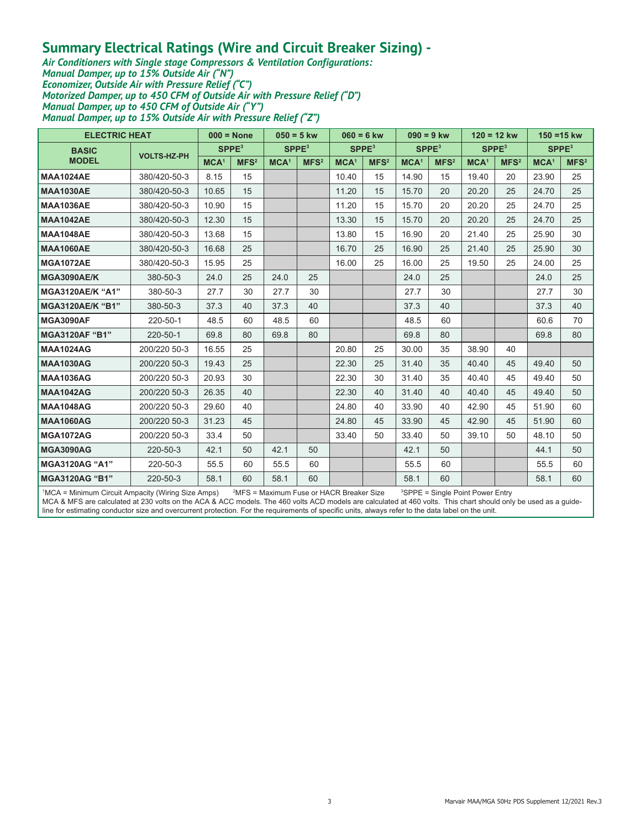### **Summary Electrical Ratings (Wire and Circuit Breaker Sizing) -**

*Air Conditioners with Single stage Compressors & Ventilation Configurations: Manual Damper, up to 15% Outside Air ("N") Economizer, Outside Air with Pressure Relief ("C") Motorized Damper, up to 450 CFM of Outside Air with Pressure Relief ("D") Manual Damper, up to 450 CFM of Outside Air ("Y") Manual Damper, up to 15% Outside Air with Pressure Relief ("Z")*

| <b>ELECTRIC HEAT</b>    | $000 = None$       |                  | $050 = 5$ kw         |                      |                  | $060 = 6$ kw     | $090 = 9$ kw         |                  |                      | $120 = 12$ kw    | $150 = 15$ kw        |                  |                      |
|-------------------------|--------------------|------------------|----------------------|----------------------|------------------|------------------|----------------------|------------------|----------------------|------------------|----------------------|------------------|----------------------|
| <b>BASIC</b>            |                    |                  | S P P E <sup>3</sup> | S P P E <sup>3</sup> |                  |                  | S P P E <sup>3</sup> |                  | S P P E <sup>3</sup> |                  | S P P E <sup>3</sup> |                  | S P P E <sup>3</sup> |
| <b>MODEL</b>            | <b>VOLTS-HZ-PH</b> | MCA <sup>1</sup> | MFS <sup>2</sup>     | MCA <sup>1</sup>     | MFS <sup>2</sup> | MCA <sup>1</sup> | MFS <sup>2</sup>     | MCA <sup>1</sup> | MFS <sup>2</sup>     | MCA <sup>1</sup> | MFS <sup>2</sup>     | MCA <sup>1</sup> | MFS <sup>2</sup>     |
| <b>MAA1024AE</b>        | 380/420-50-3       | 8.15             | 15                   |                      |                  | 10.40            | 15                   | 14.90            | 15                   | 19.40            | 20                   | 23.90            | 25                   |
| <b>MAA1030AE</b>        | 380/420-50-3       | 10.65            | 15                   |                      |                  | 11.20            | 15                   | 15.70            | 20                   | 20.20            | 25                   | 24.70            | 25                   |
| <b>MAA1036AE</b>        | 380/420-50-3       | 10.90            | 15                   |                      |                  | 11.20            | 15                   | 15.70            | 20                   | 20.20            | 25                   | 24.70            | 25                   |
| <b>MAA1042AE</b>        | 380/420-50-3       | 12.30            | 15                   |                      |                  | 13.30            | 15                   | 15.70            | 20                   | 20.20            | 25                   | 24.70            | 25                   |
| <b>MAA1048AE</b>        | 380/420-50-3       | 13.68            | 15                   |                      |                  | 13.80            | 15                   | 16.90            | 20                   | 21.40            | 25                   | 25.90            | 30                   |
| <b>MAA1060AE</b>        | 380/420-50-3       | 16.68            | 25                   |                      |                  | 16.70            | 25                   | 16.90            | 25                   | 21.40            | 25                   | 25.90            | 30                   |
| <b>MGA1072AE</b>        | 380/420-50-3       | 15.95            | 25                   |                      |                  | 16.00            | 25                   | 16.00            | 25                   | 19.50            | 25                   | 24.00            | 25                   |
| <b>MGA3090AE/K</b>      | 380-50-3           | 24.0             | 25                   | 24.0                 | 25               |                  |                      | 24.0             | 25                   |                  |                      | 24.0             | 25                   |
| <b>MGA3120AE/K "A1"</b> | 380-50-3           | 27.7             | 30                   | 27.7                 | 30               |                  |                      | 27.7             | 30                   |                  |                      | 27.7             | 30                   |
| <b>MGA3120AE/K "B1"</b> | 380-50-3           | 37.3             | 40                   | 37.3                 | 40               |                  |                      | 37.3             | 40                   |                  |                      | 37.3             | 40                   |
| <b>MGA3090AF</b>        | 220-50-1           | 48.5             | 60                   | 48.5                 | 60               |                  |                      | 48.5             | 60                   |                  |                      | 60.6             | 70                   |
| <b>MGA3120AF "B1"</b>   | 220-50-1           | 69.8             | 80                   | 69.8                 | 80               |                  |                      | 69.8             | 80                   |                  |                      | 69.8             | 80                   |
| <b>MAA1024AG</b>        | 200/220 50-3       | 16.55            | 25                   |                      |                  | 20.80            | 25                   | 30.00            | 35                   | 38.90            | 40                   |                  |                      |
| <b>MAA1030AG</b>        | 200/220 50-3       | 19.43            | 25                   |                      |                  | 22.30            | 25                   | 31.40            | 35                   | 40.40            | 45                   | 49.40            | 50                   |
| <b>MAA1036AG</b>        | 200/220 50-3       | 20.93            | 30                   |                      |                  | 22.30            | 30                   | 31.40            | 35                   | 40.40            | 45                   | 49.40            | 50                   |
| <b>MAA1042AG</b>        | 200/220 50-3       | 26.35            | 40                   |                      |                  | 22.30            | 40                   | 31.40            | 40                   | 40.40            | 45                   | 49.40            | 50                   |
| <b>MAA1048AG</b>        | 200/220 50-3       | 29.60            | 40                   |                      |                  | 24.80            | 40                   | 33.90            | 40                   | 42.90            | 45                   | 51.90            | 60                   |
| <b>MAA1060AG</b>        | 200/220 50-3       | 31.23            | 45                   |                      |                  | 24.80            | 45                   | 33.90            | 45                   | 42.90            | 45                   | 51.90            | 60                   |
| <b>MGA1072AG</b>        | 200/220 50-3       | 33.4             | 50                   |                      |                  | 33.40            | 50                   | 33.40            | 50                   | 39.10            | 50                   | 48.10            | 50                   |
| <b>MGA3090AG</b>        | 220-50-3           | 42.1             | 50                   | 42.1                 | 50               |                  |                      | 42.1             | 50                   |                  |                      | 44.1             | 50                   |
| <b>MGA3120AG "A1"</b>   | 220-50-3           | 55.5             | 60                   | 55.5                 | 60               |                  |                      | 55.5             | 60                   |                  |                      | 55.5             | 60                   |
| <b>MGA3120AG "B1"</b>   | 220-50-3           | 58.1             | 60                   | 58.1                 | 60               |                  |                      | 58.1             | 60                   |                  |                      | 58.1             | 60                   |

1MCA = Minimum Circuit Ampacity (Wiring Size Amps) 2MFS = Maximum Fuse or HACR Breaker Size 3SPPE = Single Point Power Entry MCA & MFS are calculated at 230 volts on the ACA & ACC models. The 460 volts ACD models are calculated at 460 volts. This chart should only be used as a guideline for estimating conductor size and overcurrent protection. For the requirements of specific units, always refer to the data label on the unit.